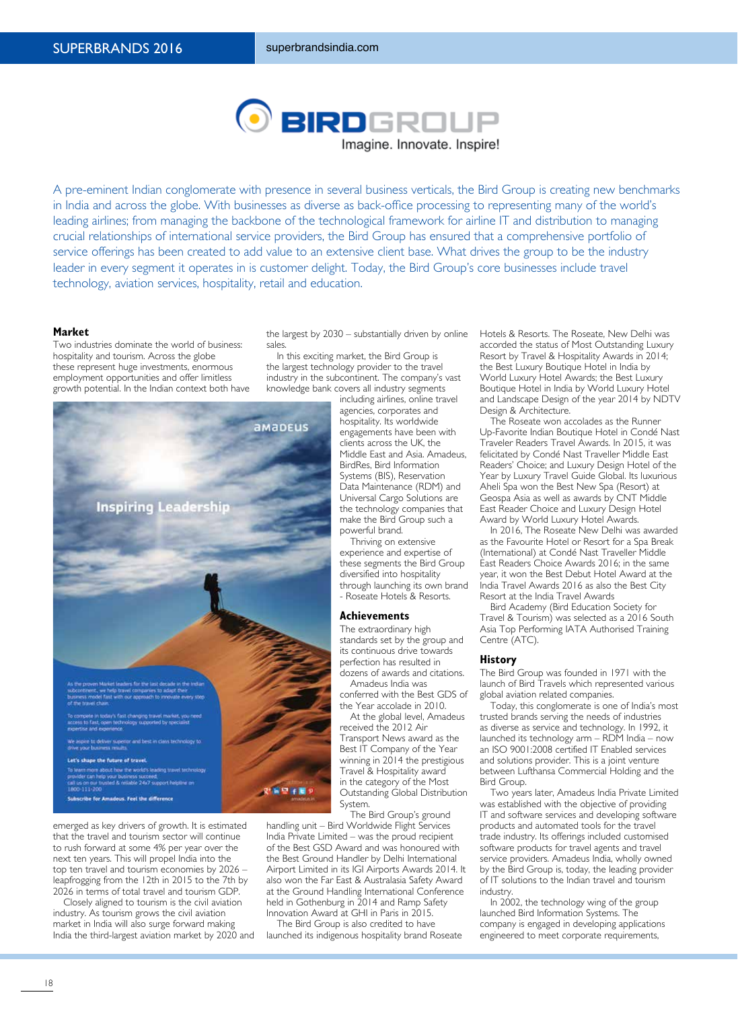

A pre-eminent Indian conglomerate with presence in several business verticals, the Bird Group is creating new benchmarks in India and across the globe. With businesses as diverse as back-office processing to representing many of the world's leading airlines; from managing the backbone of the technological framework for airline IT and distribution to managing crucial relationships of international service providers, the Bird Group has ensured that a comprehensive portfolio of service offerings has been created to add value to an extensive client base. What drives the group to be the industry leader in every segment it operates in is customer delight. Today, the Bird Group's core businesses include travel technology, aviation services, hospitality, retail and education.

#### **Market**

Two industries dominate the world of business: hospitality and tourism. Across the globe these represent huge investments, enormous employment opportunities and offer limitless growth potential. In the Indian context both have



emerged as key drivers of growth. It is estimated that the travel and tourism sector will continue to rush forward at some 4% per year over the next ten years. This will propel India into the top ten travel and tourism economies by 2026 – leapfrogging from the 12th in 2015 to the 7th by 2026 in terms of total travel and tourism GDP.

Closely aligned to tourism is the civil aviation industry. As tourism grows the civil aviation market in India will also surge forward making India the third-largest aviation market by 2020 and the largest by 2030 – substantially driven by online sales.

In this exciting market, the Bird Group is the largest technology provider to the travel industry in the subcontinent. The company's vast knowledge bank covers all industry segments

including airlines, online travel agencies, corporates and hospitality. Its worldwide engagements have been with clients across the UK, the Middle East and Asia. Amadeus, BirdRes, Bird Information Systems (BIS), Reservation Data Maintenance (RDM) and Universal Cargo Solutions are the technology companies that make the Bird Group such a powerful brand.

Thriving on extensive experience and expertise of these segments the Bird Group diversified into hospitality through launching its own brand - Roseate Hotels & Resorts.

#### **Achievements**

The extraordinary high standards set by the group and its continuous drive towards perfection has resulted in dozens of awards and citations.

Amadeus India was conferred with the Best GDS of the Year accolade in 2010.

At the global level, Amadeus received the 2012 Air Transport News award as the Best IT Company of the Year winning in 2014 the prestigious Travel & Hospitality award in the category of the Most Outstanding Global Distribution System.

The Bird Group's ground handling unit – Bird Worldwide Flight Services India Private Limited – was the proud recipient

of the Best GSD Award and was honoured with the Best Ground Handler by Delhi International Airport Limited in its IGI Airports Awards 2014. It also won the Far East & Australasia Safety Award at the Ground Handling International Conference held in Gothenburg in 2014 and Ramp Safety Innovation Award at GHI in Paris in 2015.

The Bird Group is also credited to have launched its indigenous hospitality brand Roseate Hotels & Resorts. The Roseate, New Delhi was accorded the status of Most Outstanding Luxury Resort by Travel & Hospitality Awards in 2014; the Best Luxury Boutique Hotel in India by World Luxury Hotel Awards; the Best Luxury Boutique Hotel in India by World Luxury Hotel and Landscape Design of the year 2014 by NDTV Design & Architecture.

The Roseate won accolades as the Runner Up-Favorite Indian Boutique Hotel in Condé Nast Traveler Readers Travel Awards. In 2015, it was felicitated by Condé Nast Traveller Middle East Readers' Choice; and Luxury Design Hotel of the Year by Luxury Travel Guide Global. Its luxurious Aheli Spa won the Best New Spa (Resort) at Geospa Asia as well as awards by CNT Middle East Reader Choice and Luxury Design Hotel Award by World Luxury Hotel Awards.

In 2016, The Roseate New Delhi was awarded as the Favourite Hotel or Resort for a Spa Break (International) at Condé Nast Traveller Middle East Readers Choice Awards 2016; in the same year, it won the Best Debut Hotel Award at the India Travel Awards 2016 as also the Best City Resort at the India Travel Awards

Bird Academy (Bird Education Society for Travel & Tourism) was selected as a 2016 South Asia Top Performing IATA Authorised Training Centre (ATC).

## **History**

The Bird Group was founded in 1971 with the launch of Bird Travels which represented various global aviation related companies.

Today, this conglomerate is one of India's most trusted brands serving the needs of industries as diverse as service and technology. In 1992, it launched its technology arm – RDM India – now an ISO 9001:2008 certified IT Enabled services and solutions provider. This is a joint venture between Lufthansa Commercial Holding and the Bird Group.

Two years later, Amadeus India Private Limited was established with the objective of providing IT and software services and developing software products and automated tools for the travel trade industry. Its offerings included customised software products for travel agents and travel service providers. Amadeus India, wholly owned by the Bird Group is, today, the leading provider of IT solutions to the Indian travel and tourism industry.

In 2002, the technology wing of the group launched Bird Information Systems. The company is engaged in developing applications engineered to meet corporate requirements,